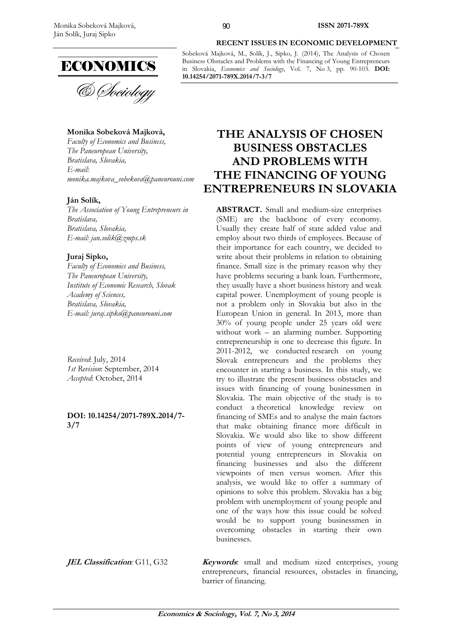

#### **Monika Sobeková Majková,**

*Faculty of Economics and Business, The Paneuropean University, Bratislava, Slovakia, E-mail: monika.majkova\_sobekova@paneurouni.com* 

#### **Ján Solík,**

*The Association of Young Entrepreneurs in Bratislava, Bratislava, Slovakia, E-mail: jan.solik@zmps.sk* 

#### **Juraj Sipko,**

*Faculty of Economics and Business, The Paneuropean University, Institute of Economic Research, Slovak Academy of Sciences, Bratislava, Slovakia, E-mail: juraj.sipko@paneurouni.com* 

*Received*: July, 2014 *1st Revision*: September, 2014 *Accepted*: October, 2014

**DOI: 10.14254/2071-789X.2014/7- 3/7**

#### **RECENT ISSUES IN ECONOMIC DEVELOPMENT**

Sobeková Majková, M., Solík, J., Sipko, J. (2014), The Analysis of Chosen Business Obstacles and Problems with the Financing of Young Entrepreneurs in Slovakia, *Economics and Sociology*, Vol. 7, No 3, pp. 90-103. **DOI: 10.14254/2071-789X.2014/7-3/7**

# **THE ANALYSIS OF CHOSEN BUSINESS OBSTACLES AND PROBLEMS WITH THE FINANCING OF YOUNG ENTREPRENEURS IN SLOVAKIA**

**ABSTRACT.** Small and medium-size enterprises (SME) are the backbone of every economy. Usually they create half of state added value and employ about two thirds of employees. Because of their importance for each country, we decided to write about their problems in relation to obtaining finance. Small size is the primary reason why they have problems securing a bank loan. Furthermore, they usually have a short business history and weak capital power. Unemployment of young people is not a problem only in Slovakia but also in the European Union in general. In 2013, more than 30% of young people under 25 years old were without work – an alarming number. Supporting entrepreneurship is one to decrease this figure. In 2011-2012, we conducted research on young Slovak entrepreneurs and the problems they encounter in starting a business. In this study, we try to illustrate the present business obstacles and issues with financing of young businessmen in Slovakia. The main objective of the study is to conduct a theoretical knowledge review on financing of SMEs and to analyse the main factors that make obtaining finance more difficult in Slovakia. We would also like to show different points of view of young entrepreneurs and potential young entrepreneurs in Slovakia on financing businesses and also the different viewpoints of men versus women. After this analysis, we would like to offer a summary of opinions to solve this problem. Slovakia has a big problem with unemployment of young people and one of the ways how this issue could be solved would be to support young businessmen in overcoming obstacles in starting their own businesses.

**JEL Classification**: G11, G32 **Keywords**: small and medium sized enterprises, young entrepreneurs, financial resources, obstacles in financing, barrier of financing.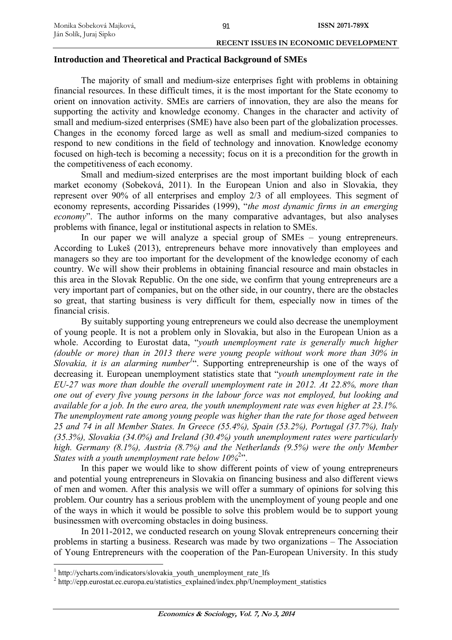#### **Introduction and Theoretical and Practical Background of SMEs**

The majority of small and medium-size enterprises fight with problems in obtaining financial resources. In these difficult times, it is the most important for the State economy to orient on innovation activity. SMEs are carriers of innovation, they are also the means for supporting the activity and knowledge economy. Changes in the character and activity of small and medium-sized enterprises (SME) have also been part of the globalization processes. Changes in the economy forced large as well as small and medium-sized companies to respond to new conditions in the field of technology and innovation. Knowledge economy focused on high-tech is becoming a necessity; focus on it is a precondition for the growth in the competitiveness of each economy.

Small and medium-sized enterprises are the most important building block of each market economy (Sobeková, 2011). In the European Union and also in Slovakia, they represent over 90% of all enterprises and employ 2/3 of all employees. This segment of economy represents, according Pissarides (1999), "*the most dynamic firms in an emerging economy*". The author informs on the many comparative advantages, but also analyses problems with finance, legal or institutional aspects in relation to SMEs.

In our paper we will analyze a special group of SMEs – young entrepreneurs. According to Lukeš (2013), entrepreneurs behave more innovatively than employees and managers so they are too important for the development of the knowledge economy of each country. We will show their problems in obtaining financial resource and main obstacles in this area in the Slovak Republic. On the one side, we confirm that young entrepreneurs are a very important part of companies, but on the other side, in our country, there are the obstacles so great, that starting business is very difficult for them, especially now in times of the financial crisis.

By suitably supporting young entrepreneurs we could also decrease the unemployment of young people. It is not a problem only in Slovakia, but also in the European Union as a whole. According to Eurostat data, "*youth unemployment rate is generally much higher (double or more) than in 2013 there were young people without work more than 30% in Slovakia, it is an alarming number<sup>1</sup>* ". Supporting entrepreneurship is one of the ways of decreasing it. European unemployment statistics state that "*youth unemployment rate in the EU-27 was more than double the overall unemployment rate in 2012. At 22.8%, more than one out of every five young persons in the labour force was not employed, but looking and available for a job. In the euro area, the youth unemployment rate was even higher at 23.1%. The unemployment rate among young people was higher than the rate for those aged between 25 and 74 in all Member States. In Greece (55.4%), Spain (53.2%), Portugal (37.7%), Italy (35.3%), Slovakia (34.0%) and Ireland (30.4%) youth unemployment rates were particularly high. Germany (8.1%), Austria (8.7%) and the Netherlands (9.5%) were the only Member*  States with a youth unemployment rate below 10%<sup>2</sup>".

In this paper we would like to show different points of view of young entrepreneurs and potential young entrepreneurs in Slovakia on financing business and also different views of men and women. After this analysis we will offer a summary of opinions for solving this problem. Our country has a serious problem with the unemployment of young people and one of the ways in which it would be possible to solve this problem would be to support young businessmen with overcoming obstacles in doing business.

In 2011-2012, we conducted research on young Slovak entrepreneurs concerning their problems in starting a business. Research was made by two organizations – The Association of Young Entrepreneurs with the cooperation of the Pan-European University. In this study

<u>.</u>

<sup>&</sup>lt;sup>1</sup> http://ycharts.com/indicators/slovakia\_youth\_unemployment\_rate\_lfs

<sup>&</sup>lt;sup>2</sup> http://epp.eurostat.ec.europa.eu/statistics\_explained/index.php/Unemployment\_statistics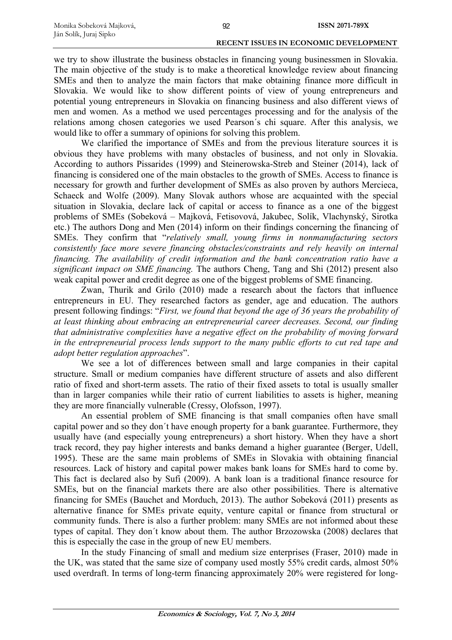we try to show illustrate the business obstacles in financing young businessmen in Slovakia. The main objective of the study is to make a theoretical knowledge review about financing SMEs and then to analyze the main factors that make obtaining finance more difficult in Slovakia. We would like to show different points of view of young entrepreneurs and potential young entrepreneurs in Slovakia on financing business and also different views of men and women. As a method we used percentages processing and for the analysis of the relations among chosen categories we used Pearson´s chi square. After this analysis, we would like to offer a summary of opinions for solving this problem.

We clarified the importance of SMEs and from the previous literature sources it is obvious they have problems with many obstacles of business, and not only in Slovakia. According to authors Pissarides (1999) and Steinerowska-Streb and Steiner (2014), lack of financing is considered one of the main obstacles to the growth of SMEs. Access to finance is necessary for growth and further development of SMEs as also proven by authors Mercieca, Schaeck and Wolfe (2009). Many Slovak authors whose are acquainted with the special situation in Slovakia, declare lack of capital or access to finance as a one of the biggest problems of SMEs (Sobeková – Majková, Fetisovová, Jakubec, Solík, Vlachynský, Sirotka etc.) The authors Dong and Men (2014) inform on their findings concerning the financing of SMEs. They confirm that "*relatively small, young firms in nonmanufacturing sectors consistently face more severe financing obstacles/constraints and rely heavily on internal financing. The availability of credit information and the bank concentration ratio have a significant impact on SME financing.* The authors Cheng, Tang and Shi (2012) present also weak capital power and credit degree as one of the biggest problems of SME financing.

Zwan, Thurik and Grilo (2010) made a research about the factors that influence entrepreneurs in EU. They researched factors as gender, age and education. The authors present following findings: "*First, we found that beyond the age of 36 years the probability of at least thinking about embracing an entrepreneurial career decreases. Second, our finding that administrative complexities have a negative effect on the probability of moving forward in the entrepreneurial process lends support to the many public efforts to cut red tape and adopt better regulation approaches*".

We see a lot of differences between small and large companies in their capital structure. Small or medium companies have different structure of assets and also different ratio of fixed and short-term assets. The ratio of their fixed assets to total is usually smaller than in larger companies while their ratio of current liabilities to assets is higher, meaning they are more financially vulnerable (Cressy, Olofsson, 1997).

An essential problem of SME financing is that small companies often have small capital power and so they don´t have enough property for a bank guarantee. Furthermore, they usually have (and especially young entrepreneurs) a short history. When they have a short track record, they pay higher interests and banks demand a higher guarantee (Berger, Udell, 1995). These are the same main problems of SMEs in Slovakia with obtaining financial resources. Lack of history and capital power makes bank loans for SMEs hard to come by. This fact is declared also by Sufi (2009). A bank loan is a traditional finance resource for SMEs, but on the financial markets there are also other possibilities. There is alternative financing for SMEs (Bauchet and Morduch, 2013). The author Sobeková (2011) presents as alternative finance for SMEs private equity, venture capital or finance from structural or community funds. There is also a further problem: many SMEs are not informed about these types of capital. They don´t know about them. The author Brzozowska (2008) declares that this is especially the case in the group of new EU members.

In the study Financing of small and medium size enterprises (Fraser, 2010) made in the UK, was stated that the same size of company used mostly 55% credit cards, almost 50% used overdraft. In terms of long-term financing approximately 20% were registered for long-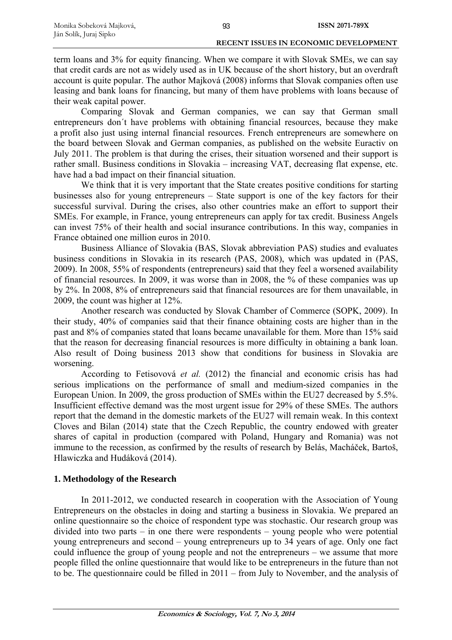term loans and 3% for equity financing. When we compare it with Slovak SMEs, we can say that credit cards are not as widely used as in UK because of the short history, but an overdraft account is quite popular. The author Majková (2008) informs that Slovak companies often use leasing and bank loans for financing, but many of them have problems with loans because of their weak capital power.

Comparing Slovak and German companies, we can say that German small entrepreneurs don´t have problems with obtaining financial resources, because they make a profit also just using internal financial resources. French entrepreneurs are somewhere on the board between Slovak and German companies, as published on the website Euractiv on July 2011. The problem is that during the crises, their situation worsened and their support is rather small. Business conditions in Slovakia – increasing VAT, decreasing flat expense, etc. have had a bad impact on their financial situation.

We think that it is very important that the State creates positive conditions for starting businesses also for young entrepreneurs – State support is one of the key factors for their successful survival. During the crises, also other countries make an effort to support their SMEs. For example, in France, young entrepreneurs can apply for tax credit. Business Angels can invest 75% of their health and social insurance contributions. In this way, companies in France obtained one million euros in 2010.

Business Alliance of Slovakia (BAS, Slovak abbreviation PAS) studies and evaluates business conditions in Slovakia in its research (PAS, 2008), which was updated in (PAS, 2009). In 2008, 55% of respondents (entrepreneurs) said that they feel a worsened availability of financial resources. In 2009, it was worse than in 2008, the % of these companies was up by 2%. In 2008, 8% of entrepreneurs said that financial resources are for them unavailable, in 2009, the count was higher at 12%.

Another research was conducted by Slovak Chamber of Commerce (SOPK, 2009). In their study, 40% of companies said that their finance obtaining costs are higher than in the past and 8% of companies stated that loans became unavailable for them. More than 15% said that the reason for decreasing financial resources is more difficulty in obtaining a bank loan. Also result of Doing business 2013 show that conditions for business in Slovakia are worsening.

According to Fetisovová *et al.* (2012) the financial and economic crisis has had serious implications on the performance of small and medium-sized companies in the European Union. In 2009, the gross production of SMEs within the EU27 decreased by 5.5%. Insufficient effective demand was the most urgent issue for 29% of these SMEs. The authors report that the demand in the domestic markets of the EU27 will remain weak. In this context Cloves and Bilan (2014) state that the Czech Republic, the country endowed with greater shares of capital in production (compared with Poland, Hungary and Romania) was not immune to the recession, as confirmed by the results of research by Belás, Macháček, Bartoš, Hlawiczka and Hudáková (2014).

## **1. Methodology of the Research**

In 2011-2012, we conducted research in cooperation with the Association of Young Entrepreneurs on the obstacles in doing and starting a business in Slovakia. We prepared an online questionnaire so the choice of respondent type was stochastic. Our research group was divided into two parts – in one there were respondents – young people who were potential young entrepreneurs and second – young entrepreneurs up to 34 years of age. Only one fact could influence the group of young people and not the entrepreneurs – we assume that more people filled the online questionnaire that would like to be entrepreneurs in the future than not to be. The questionnaire could be filled in 2011 – from July to November, and the analysis of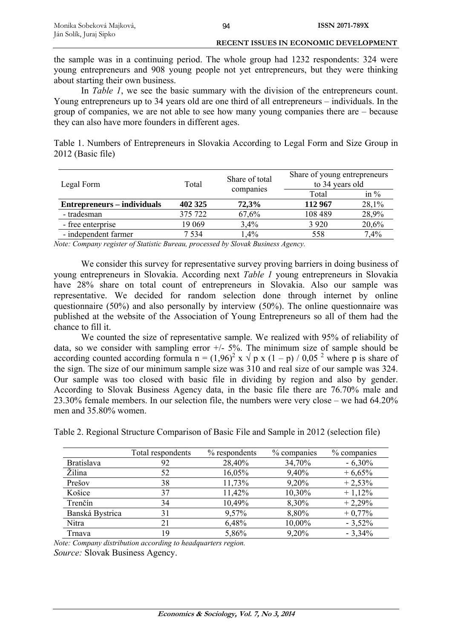the sample was in a continuing period. The whole group had 1232 respondents: 324 were young entrepreneurs and 908 young people not yet entrepreneurs, but they were thinking about starting their own business.

In *Table 1*, we see the basic summary with the division of the entrepreneurs count. Young entrepreneurs up to 34 years old are one third of all entrepreneurs – individuals. In the group of companies, we are not able to see how many young companies there are – because they can also have more founders in different ages.

Table 1. Numbers of Entrepreneurs in Slovakia According to Legal Form and Size Group in 2012 (Basic file)

| Legal Form                  | Share of total<br>Total |                               | Share of young entrepreneurs<br>to 34 years old |       |
|-----------------------------|-------------------------|-------------------------------|-------------------------------------------------|-------|
|                             |                         | companies<br>in $\%$<br>Total |                                                 |       |
| Entrepreneurs – individuals | 402 325                 | 72,3%                         | 112 967                                         | 28,1% |
| - tradesman                 | 375 722                 | 67,6%                         | 108 489                                         | 28,9% |
| - free enterprise           | 19 069                  | $3.4\%$                       | 3 9 2 0                                         | 20,6% |
| - independent farmer        | 7 5 3 4                 | 1,4%                          | 558                                             | 7,4%  |

*Note: Company register of Statistic Bureau, processed by Slovak Business Agency.* 

We consider this survey for representative survey proving barriers in doing business of young entrepreneurs in Slovakia. According next *Table 1* young entrepreneurs in Slovakia have 28% share on total count of entrepreneurs in Slovakia. Also our sample was representative. We decided for random selection done through internet by online questionnaire (50%) and also personally by interview (50%). The online questionnaire was published at the website of the Association of Young Entrepreneurs so all of them had the chance to fill it.

We counted the size of representative sample. We realized with 95% of reliability of data, so we consider with sampling error  $+/- 5\%$ . The minimum size of sample should be according counted according formula  $n = (1.96)^2 x \sqrt{p} x (1 - p) / 0.05^2$  where p is share of the sign. The size of our minimum sample size was 310 and real size of our sample was 324. Our sample was too closed with basic file in dividing by region and also by gender. According to Slovak Business Agency data, in the basic file there are 76.70% male and 23.30% female members. In our selection file, the numbers were very close – we had 64.20% men and 35.80% women.

|                   | Total respondents | % respondents | % companies | % companies |
|-------------------|-------------------|---------------|-------------|-------------|
| <b>Bratislava</b> | 92                | 28,40%        | 34,70%      | $-6,30%$    |
| Žilina            | 52                | 16,05%        | 9,40%       | $+6,65%$    |
| Prešov            | 38                | 11,73%        | 9,20%       | $+2,53%$    |
| Košice            | 37                | 11,42%        | 10,30%      | $+1,12%$    |
| Trenčín           | 34                | 10,49%        | 8,30%       | $+2,29%$    |
| Banská Bystrica   | 31                | 9,57%         | 8,80%       | $+0,77%$    |
| Nitra             | 21                | 6,48%         | 10,00%      | $-3,52\%$   |
| Trnava            | 19                | 5,86%         | 9,20%       | $-3,34%$    |

Table 2. Regional Structure Comparison of Basic File and Sample in 2012 (selection file)

*Note: Company distribution according to headquarters region. Source:* Slovak Business Agency.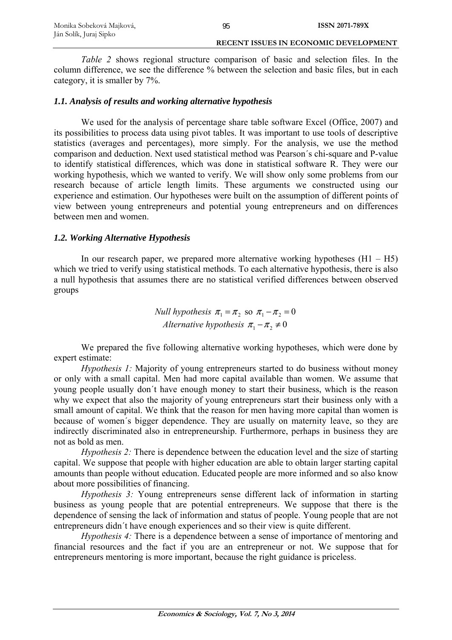*Table 2* shows regional structure comparison of basic and selection files. In the column difference, we see the difference % between the selection and basic files, but in each category, it is smaller by 7%.

95

## *1.1. Analysis of results and working alternative hypothesis*

We used for the analysis of percentage share table software Excel (Office, 2007) and its possibilities to process data using pivot tables. It was important to use tools of descriptive statistics (averages and percentages), more simply. For the analysis, we use the method comparison and deduction. Next used statistical method was Pearson´s chi-square and P-value to identify statistical differences, which was done in statistical software R. They were our working hypothesis, which we wanted to verify. We will show only some problems from our research because of article length limits. These arguments we constructed using our experience and estimation. Our hypotheses were built on the assumption of different points of view between young entrepreneurs and potential young entrepreneurs and on differences between men and women.

## *1.2. Working Alternative Hypothesis*

In our research paper, we prepared more alternative working hypotheses  $(H1 - H5)$ which we tried to verify using statistical methods. To each alternative hypothesis, there is also a null hypothesis that assumes there are no statistical verified differences between observed groups

> *Null hypothesis*  $\pi_1 = \pi_2$  so  $\pi_1 - \pi_2 = 0$ *Alternative hypothesis*  $\pi_1 - \pi_2 \neq 0$

We prepared the five following alternative working hypotheses, which were done by expert estimate:

*Hypothesis 1:* Majority of young entrepreneurs started to do business without money or only with a small capital. Men had more capital available than women. We assume that young people usually don´t have enough money to start their business, which is the reason why we expect that also the majority of young entrepreneurs start their business only with a small amount of capital. We think that the reason for men having more capital than women is because of women´s bigger dependence. They are usually on maternity leave, so they are indirectly discriminated also in entrepreneurship. Furthermore, perhaps in business they are not as bold as men.

*Hypothesis 2:* There is dependence between the education level and the size of starting capital. We suppose that people with higher education are able to obtain larger starting capital amounts than people without education. Educated people are more informed and so also know about more possibilities of financing.

*Hypothesis 3:* Young entrepreneurs sense different lack of information in starting business as young people that are potential entrepreneurs. We suppose that there is the dependence of sensing the lack of information and status of people. Young people that are not entrepreneurs didn´t have enough experiences and so their view is quite different.

*Hypothesis 4:* There is a dependence between a sense of importance of mentoring and financial resources and the fact if you are an entrepreneur or not. We suppose that for entrepreneurs mentoring is more important, because the right guidance is priceless.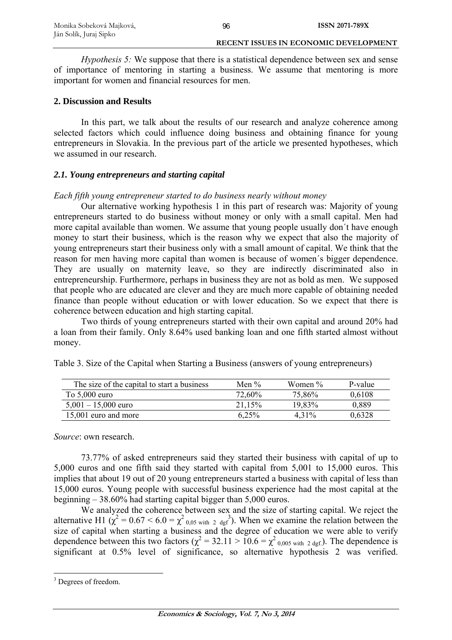*Hypothesis 5:* We suppose that there is a statistical dependence between sex and sense of importance of mentoring in starting a business. We assume that mentoring is more important for women and financial resources for men.

## **2. Discussion and Results**

In this part, we talk about the results of our research and analyze coherence among selected factors which could influence doing business and obtaining finance for young entrepreneurs in Slovakia. In the previous part of the article we presented hypotheses, which we assumed in our research.

## *2.1. Young entrepreneurs and starting capital*

## *Each fifth young entrepreneur started to do business nearly without money*

Our alternative working hypothesis 1 in this part of research was: Majority of young entrepreneurs started to do business without money or only with a small capital. Men had more capital available than women. We assume that young people usually don´t have enough money to start their business, which is the reason why we expect that also the majority of young entrepreneurs start their business only with a small amount of capital. We think that the reason for men having more capital than women is because of women´s bigger dependence. They are usually on maternity leave, so they are indirectly discriminated also in entrepreneurship. Furthermore, perhaps in business they are not as bold as men. We supposed that people who are educated are clever and they are much more capable of obtaining needed finance than people without education or with lower education. So we expect that there is coherence between education and high starting capital.

Two thirds of young entrepreneurs started with their own capital and around 20% had a loan from their family. Only 8.64% used banking loan and one fifth started almost without money.

| The size of the capital to start a business | Men $\%$ | Women % | P-value |
|---------------------------------------------|----------|---------|---------|
| To $5,000$ euro                             | 72,60%   | 75.86%  | 0,6108  |
| $5,001 - 15,000$ euro                       | 21.15%   | 19.83%  | 0.889   |
| 15,001 euro and more                        | $6.25\%$ | 4 3 1 % | 0.6328  |

Table 3. Size of the Capital when Starting a Business (answers of young entrepreneurs)

*Source*: own research.

73.77% of asked entrepreneurs said they started their business with capital of up to 5,000 euros and one fifth said they started with capital from 5,001 to 15,000 euros. This implies that about 19 out of 20 young entrepreneurs started a business with capital of less than 15,000 euros. Young people with successful business experience had the most capital at the beginning – 38.60% had starting capital bigger than 5,000 euros.

We analyzed the coherence between sex and the size of starting capital. We reject the alternative H1 ( $\chi^2 = 0.67 < 6.0 = \chi^2_{0.05 \text{ with } 2 \text{ dg}}^3$ ). When we examine the relation between the size of capital when starting a business and the degree of education we were able to verify dependence between this two factors  $(\chi^2 = 32.11 > 10.6 = \chi^2_{0.005 \text{ with } 2 \text{ dgf}})$ . The dependence is significant at 0.5% level of significance, so alternative hypothesis 2 was verified.

<sup>1</sup> <sup>3</sup> Degrees of freedom.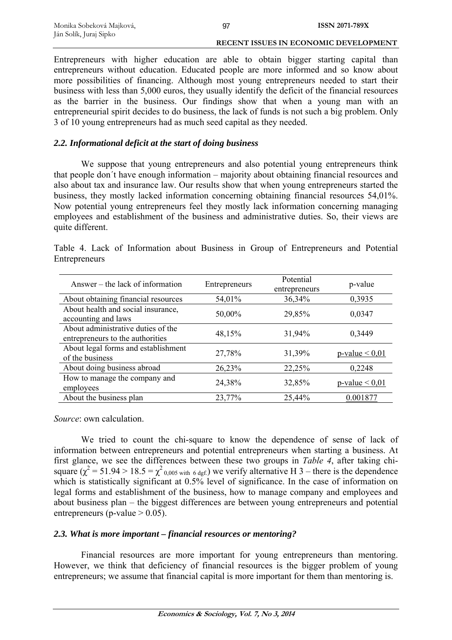Entrepreneurs with higher education are able to obtain bigger starting capital than entrepreneurs without education. Educated people are more informed and so know about more possibilities of financing. Although most young entrepreneurs needed to start their business with less than 5,000 euros, they usually identify the deficit of the financial resources as the barrier in the business. Our findings show that when a young man with an entrepreneurial spirit decides to do business, the lack of funds is not such a big problem. Only 3 of 10 young entrepreneurs had as much seed capital as they needed.

## *2.2. Informational deficit at the start of doing business*

We suppose that young entrepreneurs and also potential young entrepreneurs think that people don´t have enough information – majority about obtaining financial resources and also about tax and insurance law. Our results show that when young entrepreneurs started the business, they mostly lacked information concerning obtaining financial resources 54,01%. Now potential young entrepreneurs feel they mostly lack information concerning managing employees and establishment of the business and administrative duties. So, their views are quite different.

| Answer – the lack of information                                       | Entrepreneurs | Potential<br>entrepreneurs | p-value                |
|------------------------------------------------------------------------|---------------|----------------------------|------------------------|
| About obtaining financial resources                                    | 54,01%        | 36,34%                     | 0,3935                 |
| About health and social insurance,<br>accounting and laws              | 50,00%        | 29,85%                     | 0,0347                 |
| About administrative duties of the<br>entrepreneurs to the authorities | 48,15%        | 31,94%                     | 0,3449                 |
| About legal forms and establishment<br>of the business                 | 27,78%        | 31,39%                     | $p$ -value $\leq 0.01$ |
| About doing business abroad                                            | 26,23%        | 22,25%                     | 0,2248                 |
| How to manage the company and<br>employees                             | 24,38%        | 32,85%                     | $p$ -value $< 0.01$    |
| About the business plan                                                | 23,77%        | 25,44%                     | 0.001877               |

Table 4. Lack of Information about Business in Group of Entrepreneurs and Potential Entrepreneurs

*Source*: own calculation.

We tried to count the chi-square to know the dependence of sense of lack of information between entrepreneurs and potential entrepreneurs when starting a business. At first glance, we see the differences between these two groups in *Table 4*, after taking chisquare  $(\chi^2 = 51.94 > 18.5 = \chi^2_{0.005 \text{ with } 6 \text{ dgf.}})$  we verify alternative H 3 – there is the dependence which is statistically significant at 0.5% level of significance. In the case of information on legal forms and establishment of the business, how to manage company and employees and about business plan – the biggest differences are between young entrepreneurs and potential entrepreneurs (p-value  $> 0.05$ ).

## *2.3. What is more important – financial resources or mentoring?*

Financial resources are more important for young entrepreneurs than mentoring. However, we think that deficiency of financial resources is the bigger problem of young entrepreneurs; we assume that financial capital is more important for them than mentoring is.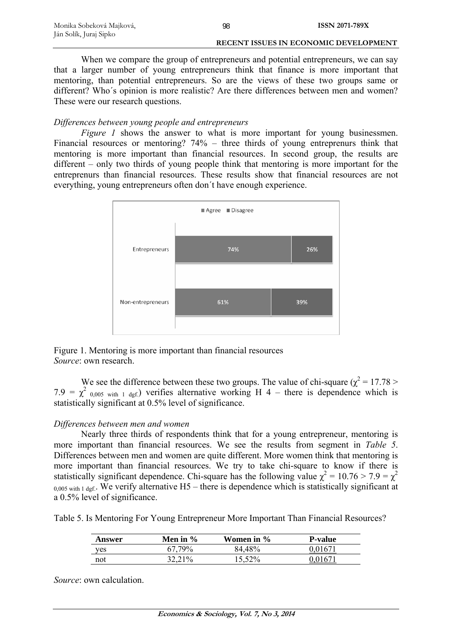When we compare the group of entrepreneurs and potential entrepreneurs, we can say that a larger number of young entrepreneurs think that finance is more important that mentoring, than potential entrepreneurs. So are the views of these two groups same or different? Who´s opinion is more realistic? Are there differences between men and women? These were our research questions.

## *Differences between young people and entrepreneurs*

*Figure 1* shows the answer to what is more important for young businessmen. Financial resources or mentoring? 74% – three thirds of young entreprenurs think that mentoring is more important than financial resources. In second group, the results are different – only two thirds of young people think that mentoring is more important for the entreprenurs than financial resources. These results show that financial resources are not everything, young entrepreneurs often don´t have enough experience.



Figure 1. Mentoring is more important than financial resources *Source*: own research.

We see the difference between these two groups. The value of chi-square ( $\chi^2$  = 17.78 >  $7.9 = \chi^2$  0,005 with 1 dgf.) verifies alternative working H 4 – there is dependence which is statistically significant at 0.5% level of significance.

## *Differences between men and women*

Nearly three thirds of respondents think that for a young entrepreneur, mentoring is more important than financial resources. We see the results from segment in *Table 5*. Differences between men and women are quite different. More women think that mentoring is more important than financial resources. We try to take chi-square to know if there is statistically significant dependence. Chi-square has the following value  $\chi^2 = 10.76 > 7.9 = \chi^2$  $0.005$  with 1 dgf.. We verify alternative H5 – there is dependence which is statistically significant at a 0.5% level of significance.

Table 5. Is Mentoring For Young Entrepreneur More Important Than Financial Resources?

| Answer | Men in $\%$   | Women in % | <b>P-value</b> |
|--------|---------------|------------|----------------|
| yes    | <b>67.79%</b> | 84.48%     | $0167^{\circ}$ |
| not    | 32,21%        | 15,52%     | .0167          |

*Source*: own calculation.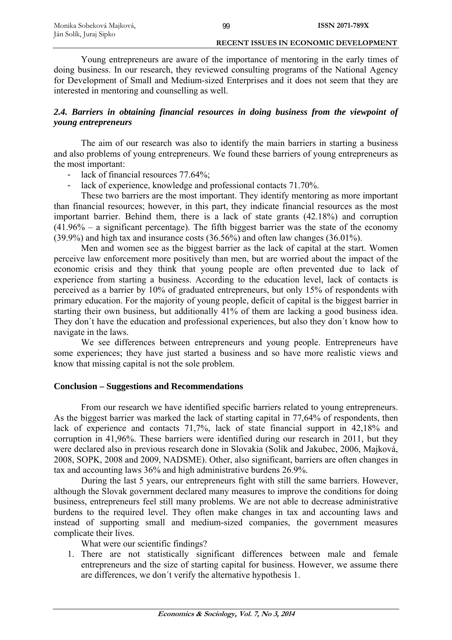Young entrepreneurs are aware of the importance of mentoring in the early times of doing business. In our research, they reviewed consulting programs of the National Agency for Development of Small and Medium-sized Enterprises and it does not seem that they are interested in mentoring and counselling as well.

## *2.4. Barriers in obtaining financial resources in doing business from the viewpoint of young entrepreneurs*

The aim of our research was also to identify the main barriers in starting a business and also problems of young entrepreneurs. We found these barriers of young entrepreneurs as the most important:

- lack of financial resources 77.64%;
- lack of experience, knowledge and professional contacts 71.70%.

These two barriers are the most important. They identify mentoring as more important than financial resources; however, in this part, they indicate financial resources as the most important barrier. Behind them, there is a lack of state grants (42.18%) and corruption  $(41.96\% - a$  significant percentage). The fifth biggest barrier was the state of the economy (39.9%) and high tax and insurance costs (36.56%) and often law changes (36.01%).

Men and women see as the biggest barrier as the lack of capital at the start. Women perceive law enforcement more positively than men, but are worried about the impact of the economic crisis and they think that young people are often prevented due to lack of experience from starting a business. According to the education level, lack of contacts is perceived as a barrier by 10% of graduated entrepreneurs, but only 15% of respondents with primary education. For the majority of young people, deficit of capital is the biggest barrier in starting their own business, but additionally 41% of them are lacking a good business idea. They don´t have the education and professional experiences, but also they don´t know how to navigate in the laws.

We see differences between entrepreneurs and young people. Entrepreneurs have some experiences; they have just started a business and so have more realistic views and know that missing capital is not the sole problem.

## **Conclusion – Suggestions and Recommendations**

From our research we have identified specific barriers related to young entrepreneurs. As the biggest barrier was marked the lack of starting capital in 77,64% of respondents, then lack of experience and contacts 71,7%, lack of state financial support in 42,18% and corruption in 41,96%. These barriers were identified during our research in 2011, but they were declared also in previous research done in Slovakia (Solík and Jakubec, 2006, Majková, 2008, SOPK, 2008 and 2009, NADSME). Other, also significant, barriers are often changes in tax and accounting laws 36% and high administrative burdens 26.9%.

During the last 5 years, our entrepreneurs fight with still the same barriers. However, although the Slovak government declared many measures to improve the conditions for doing business, entrepreneurs feel still many problems. We are not able to decrease administrative burdens to the required level. They often make changes in tax and accounting laws and instead of supporting small and medium-sized companies, the government measures complicate their lives.

What were our scientific findings?

1. There are not statistically significant differences between male and female entrepreneurs and the size of starting capital for business. However, we assume there are differences, we don´t verify the alternative hypothesis 1.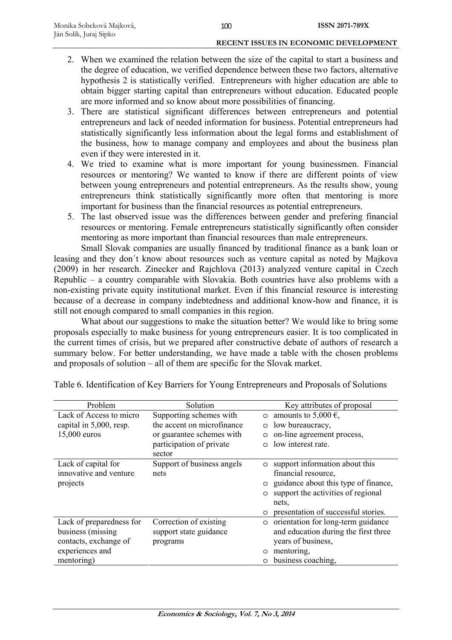- 2. When we examined the relation between the size of the capital to start a business and the degree of education, we verified dependence between these two factors, alternative hypothesis 2 is statistically verified. Entrepreneurs with higher education are able to obtain bigger starting capital than entrepreneurs without education. Educated people are more informed and so know about more possibilities of financing.
- 3. There are statistical significant differences between entrepreneurs and potential entrepreneurs and lack of needed information for business. Potential entrepreneurs had statistically significantly less information about the legal forms and establishment of the business, how to manage company and employees and about the business plan even if they were interested in it.
- 4. We tried to examine what is more important for young businessmen. Financial resources or mentoring? We wanted to know if there are different points of view between young entrepreneurs and potential entrepreneurs. As the results show, young entrepreneurs think statistically significantly more often that mentoring is more important for business than the financial resources as potential entrepreneurs.
- 5. The last observed issue was the differences between gender and prefering financial resources or mentoring. Female entrepreneurs statistically significantly often consider mentoring as more important than financial resources than male entrepreneurs.

Small Slovak companies are usually financed by traditional finance as a bank loan or leasing and they don´t know about resources such as venture capital as noted by Majkova (2009) in her research. Zinecker and Rajchlova (2013) analyzed venture capital in Czech Republic – a country comparable with Slovakia. Both countries have also problems with a non-existing private equity institutional market. Even if this financial resource is interesting because of a decrease in company indebtedness and additional know-how and finance, it is still not enough compared to small companies in this region.

What about our suggestions to make the situation better? We would like to bring some proposals especially to make business for young entrepreneurs easier. It is too complicated in the current times of crisis, but we prepared after constructive debate of authors of research a summary below. For better understanding, we have made a table with the chosen problems and proposals of solution – all of them are specific for the Slovak market.

| Problem                  | Solution                   | Key attributes of proposal                      |
|--------------------------|----------------------------|-------------------------------------------------|
| Lack of Access to micro  | Supporting schemes with    | amounts to 5,000 $\epsilon$ ,<br>$\circ$        |
| capital in 5,000, resp.  | the accent on microfinance | low bureaucracy,<br>$\circ$                     |
| 15,000 euros             | or guarantee schemes with  | on-line agreement process,<br>$\circ$           |
|                          | participation of private   | low interest rate.<br>$\Omega$                  |
|                          | sector                     |                                                 |
| Lack of capital for      | Support of business angels | support information about this<br>$\circ$       |
| innovative and venture   | nets                       | financial resource,                             |
| projects                 |                            | guidance about this type of finance,<br>$\circ$ |
|                          |                            | support the activities of regional<br>$\circ$   |
|                          |                            | nets,                                           |
|                          |                            | presentation of successful stories.<br>$\circ$  |
| Lack of preparedness for | Correction of existing     | orientation for long-term guidance<br>$\circ$   |
| business (missing)       | support state guidance     | and education during the first three            |
| contacts, exchange of    | programs                   | years of business,                              |
| experiences and          |                            | mentoring,<br>$\circ$                           |
| mentoring)               |                            | business coaching,<br>$\circ$                   |

Table 6. Identification of Key Barriers for Young Entrepreneurs and Proposals of Solutions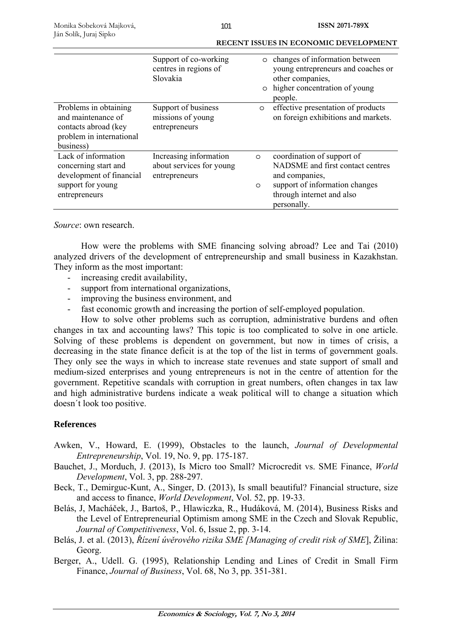|                                                                                                               | Support of co-working<br>centres in regions of<br>Slovakia          |                    | o changes of information between<br>young entrepreneurs and coaches or<br>other companies,<br>o higher concentration of young<br>people.                       |
|---------------------------------------------------------------------------------------------------------------|---------------------------------------------------------------------|--------------------|----------------------------------------------------------------------------------------------------------------------------------------------------------------|
| Problems in obtaining<br>and maintenance of<br>contacts abroad (key<br>problem in international<br>business)  | Support of business<br>missions of young<br>entrepreneurs           | $\circ$            | effective presentation of products<br>on foreign exhibitions and markets.                                                                                      |
| Lack of information<br>concerning start and<br>development of financial<br>support for young<br>entrepreneurs | Increasing information<br>about services for young<br>entrepreneurs | $\circ$<br>$\circ$ | coordination of support of<br>NADSME and first contact centres<br>and companies,<br>support of information changes<br>through internet and also<br>personally. |

*Source*: own research.

How were the problems with SME financing solving abroad? Lee and Tai (2010) analyzed drivers of the development of entrepreneurship and small business in Kazakhstan. They inform as the most important:

- increasing credit availability,
- support from international organizations,
- improving the business environment, and
- fast economic growth and increasing the portion of self-employed population.

How to solve other problems such as corruption, administrative burdens and often changes in tax and accounting laws? This topic is too complicated to solve in one article. Solving of these problems is dependent on government, but now in times of crisis, a decreasing in the state finance deficit is at the top of the list in terms of government goals. They only see the ways in which to increase state revenues and state support of small and medium-sized enterprises and young entrepreneurs is not in the centre of attention for the government. Repetitive scandals with corruption in great numbers, often changes in tax law and high administrative burdens indicate a weak political will to change a situation which doesn´t look too positive.

## **References**

- Awken, V., Howard, E. (1999), Obstacles to the launch, *Journal of Developmental Entrepreneurship*, Vol. 19, No. 9, pp. 175-187.
- Bauchet, J., Morduch, J. (2013), Is Micro too Small? Microcredit vs. SME Finance, *World Development*, Vol. 3, pp. 288-297.
- Beck, T., Demirguc-Kunt, A., Singer, D. (2013), Is small beautiful? Financial structure, size and access to finance, *World Development*, Vol. 52, pp. 19-33.
- Belás, J, Macháček, J., Bartoš, P., Hlawiczka, R., Hudáková, M. (2014), Business Risks and the Level of Entrepreneurial Optimism among SME in the Czech and Slovak Republic, *Journal of Competitiveness*, Vol. 6, Issue 2, pp. 3-14.
- Belás, J. et al. (2013), *Řízení úvěrového rizika SME [Managing of credit risk of SME*], Žilina: Georg.
- Berger, A., Udell. G. (1995), Relationship Lending and Lines of Credit in Small Firm Finance, *Journal of Business*, Vol. 68, No 3, pp. 351-381.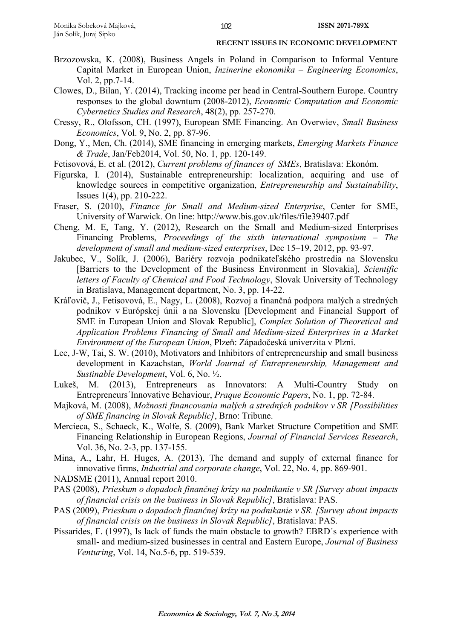- Brzozowska, K. (2008), Business Angels in Poland in Comparison to Informal Venture Capital Market in European Union, *Inzinerine ekonomika – Engineering Economics*, Vol. 2, pp.7-14.
- Clowes, D., Bilan, Y. (2014), Tracking income per head in Central-Southern Europe. Country responses to the global downturn (2008-2012), *Economic Computation and Economic Cybernetics Studies and Research*, 48(2), pp. 257-270.
- Cressy, R., Olofsson, CH. (1997), European SME Financing. An Overwiev, *Small Business Economics*, Vol. 9, No. 2, pp. 87-96.
- Dong, Y., Men, Ch. (2014), SME financing in emerging markets, *Emerging Markets Finance & Trade*, Jan/Feb2014, Vol. 50, No. 1, pp. 120-149.
- Fetisovová, E. et al. (2012), *Current problems of finances of SMEs*, Bratislava: Ekonóm.
- Figurska, I. (2014), Sustainable entrepreneurship: localization, acquiring and use of knowledge sources in competitive organization, *Entrepreneurship and Sustainability*, Issues 1(4), pp. 210-222.
- Fraser, S. (2010), *Finance for Small and Medium-sized Enterprise*, Center for SME, University of Warwick. On line: http://www.bis.gov.uk/files/file39407.pdf
- Cheng, M. E, Tang, Y. (2012), Research on the Small and Medium-sized Enterprises Financing Problems, *Proceedings of the sixth international symposium – The development of small and medium-sized enterprises*, Dec 15–19, 2012, pp. 93-97.
- Jakubec, V., Solík, J. (2006), Bariéry rozvoja podnikateľského prostredia na Slovensku [Barriers to the Development of the Business Environment in Slovakia], *Scientific letters of Faculty of Chemical and Food Technology*, Slovak University of Technology in Bratislava, Management department, No. 3, pp. 14-22.
- Kráľovič, J., Fetisovová, E., Nagy, L. (2008), Rozvoj a finančná podpora malých a stredných podnikov v Európskej únii a na Slovensku [Development and Financial Support of SME in European Union and Slovak Republic], *Complex Solution of Theoretical and Application Problems Financing of Small and Medium-sized Enterprises in a Market Environment of the European Union*, Plzeň: Západočeská univerzita v Plzni.
- Lee, J-W, Tai, S. W. (2010), Motivators and Inhibitors of entrepreneurship and small business development in Kazachstan, *World Journal of Entrepreneurship, Management and Sustinable Development*, Vol. 6, No. ½.
- Lukeš, M. (2013), Entrepreneurs as Innovators: A Multi-Country Study on Entrepreneurs´Innovative Behaviour, *Praque Economic Papers*, No. 1, pp. 72-84.
- Majková, M. (2008), *Možnosti financovania malých a stredných podnikov v SR [Possibilities of SME financing in Slovak Republic]*, Brno: Tribune.
- Mercieca, S., Schaeck, K., Wolfe, S. (2009), Bank Market Structure Competition and SME Financing Relationship in European Regions, *Journal of Financial Services Research*, Vol. 36, No. 2-3, pp. 137-155.
- Mina, A., Lahr, H. Huges, A. (2013), The demand and supply of external finance for innovative firms, *Industrial and corporate change*, Vol. 22, No. 4, pp. 869-901.
- NADSME (2011), Annual report 2010.
- PAS (2008), *Prieskum o dopadoch finančnej krízy na podnikanie v SR [Survey about impacts of financial crisis on the business in Slovak Republic]*, Bratislava: PAS.
- PAS (2009), *Prieskum o dopadoch finančnej krízy na podnikanie v SR. [Survey about impacts of financial crisis on the business in Slovak Republic]*, Bratislava: PAS.
- Pissarides, F. (1997), Is lack of funds the main obstacle to growth? EBRD´s experience with small- and medium-sized businesses in central and Eastern Europe, *Journal of Business Venturing*, Vol. 14, No.5-6, pp. 519-539.